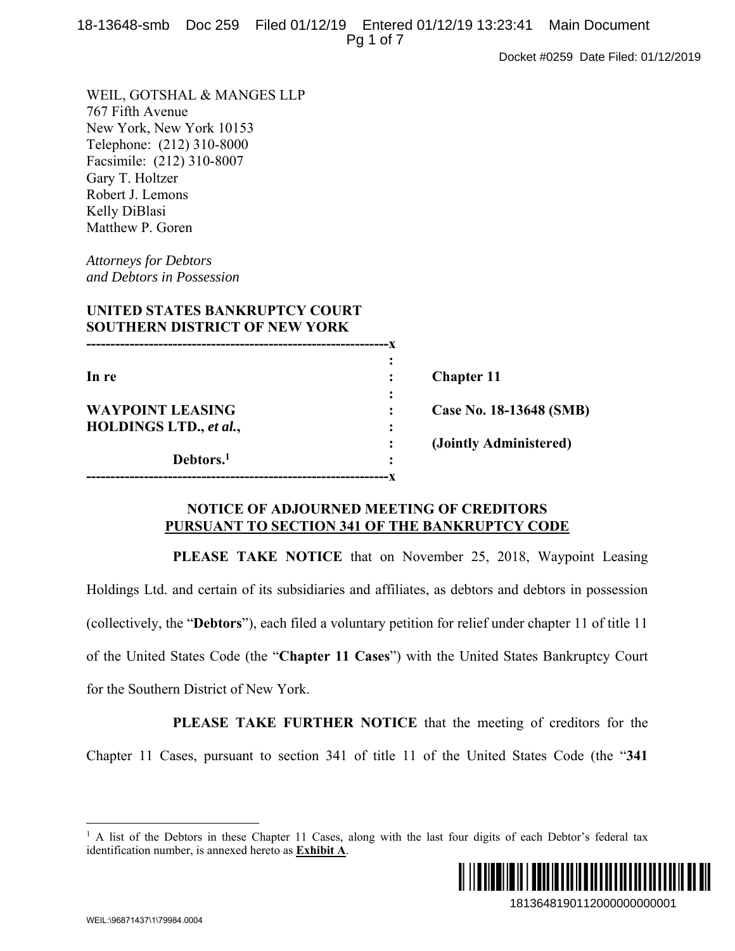|  | 18-13648-smb Doc 259 Filed 01/12/19 Entered 01/12/19 13:23:41 Main Document |  |
|--|-----------------------------------------------------------------------------|--|
|  | Pq 1 of 7                                                                   |  |

Docket #0259 Date Filed: 01/12/2019

WEIL, GOTSHAL & MANGES LLP 767 Fifth Avenue New York, New York 10153 Telephone: (212) 310-8000 Facsimile: (212) 310-8007 Gary T. Holtzer Robert J. Lemons Kelly DiBlasi Matthew P. Goren

*Attorneys for Debtors and Debtors in Possession* 

| UNITED STATES BANKRUPTCY COURT<br><b>SOUTHERN DISTRICT OF NEW YORK</b> |   |                         |
|------------------------------------------------------------------------|---|-------------------------|
|                                                                        |   |                         |
|                                                                        |   |                         |
| In re                                                                  |   | <b>Chapter 11</b>       |
|                                                                        |   |                         |
| <b>WAYPOINT LEASING</b>                                                |   | Case No. 18-13648 (SMB) |
| HOLDINGS LTD., et al.,                                                 |   |                         |
|                                                                        |   | (Jointly Administered)  |
| Debtors. <sup>1</sup>                                                  | ٠ |                         |

#### **NOTICE OF ADJOURNED MEETING OF CREDITORS PURSUANT TO SECTION 341 OF THE BANKRUPTCY CODE**

**---------------------------------------------------------------x** 

**PLEASE TAKE NOTICE** that on November 25, 2018, Waypoint Leasing Holdings Ltd. and certain of its subsidiaries and affiliates, as debtors and debtors in possession (collectively, the "**Debtors**"), each filed a voluntary petition for relief under chapter 11 of title 11 of the United States Code (the "**Chapter 11 Cases**") with the United States Bankruptcy Court for the Southern District of New York.

**PLEASE TAKE FURTHER NOTICE** that the meeting of creditors for the Chapter 11 Cases, pursuant to section 341 of title 11 of the United States Code (the "**341** 

<sup>&</sup>lt;sup>1</sup> A list of the Debtors in these Chapter 11 Cases, along with the last four digits of each Debtor's federal tax identification number, is annexed hereto as **Exhibit A**.



 $\overline{a}$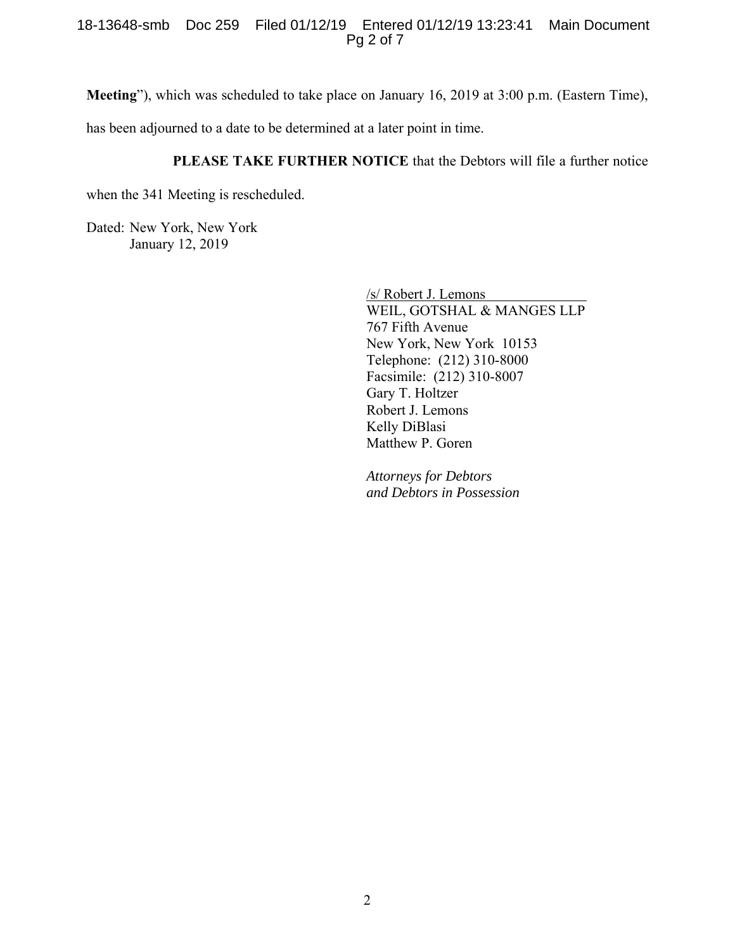#### 18-13648-smb Doc 259 Filed 01/12/19 Entered 01/12/19 13:23:41 Main Document Pg 2 of 7

**Meeting**"), which was scheduled to take place on January 16, 2019 at 3:00 p.m. (Eastern Time),

has been adjourned to a date to be determined at a later point in time.

#### **PLEASE TAKE FURTHER NOTICE** that the Debtors will file a further notice

when the 341 Meeting is rescheduled.

Dated: New York, New York January 12, 2019

> /s/ Robert J. Lemons WEIL, GOTSHAL & MANGES LLP 767 Fifth Avenue New York, New York 10153 Telephone: (212) 310-8000 Facsimile: (212) 310-8007 Gary T. Holtzer Robert J. Lemons Kelly DiBlasi Matthew P. Goren

*Attorneys for Debtors and Debtors in Possession*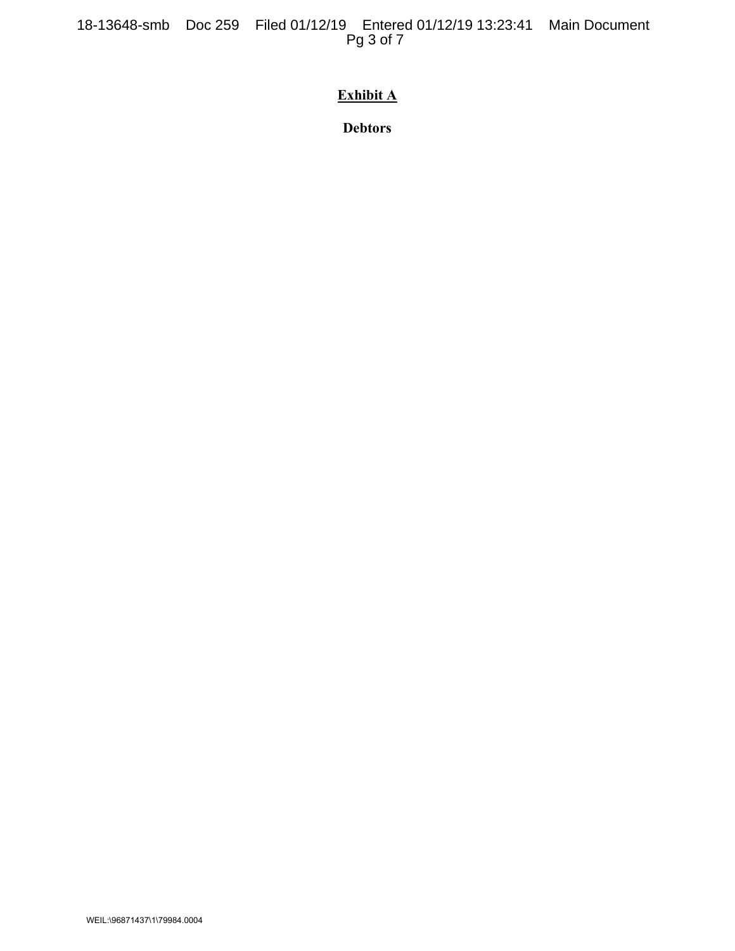18-13648-smb Doc 259 Filed 01/12/19 Entered 01/12/19 13:23:41 Main Document Pg 3 of 7

# **Exhibit A**

**Debtors**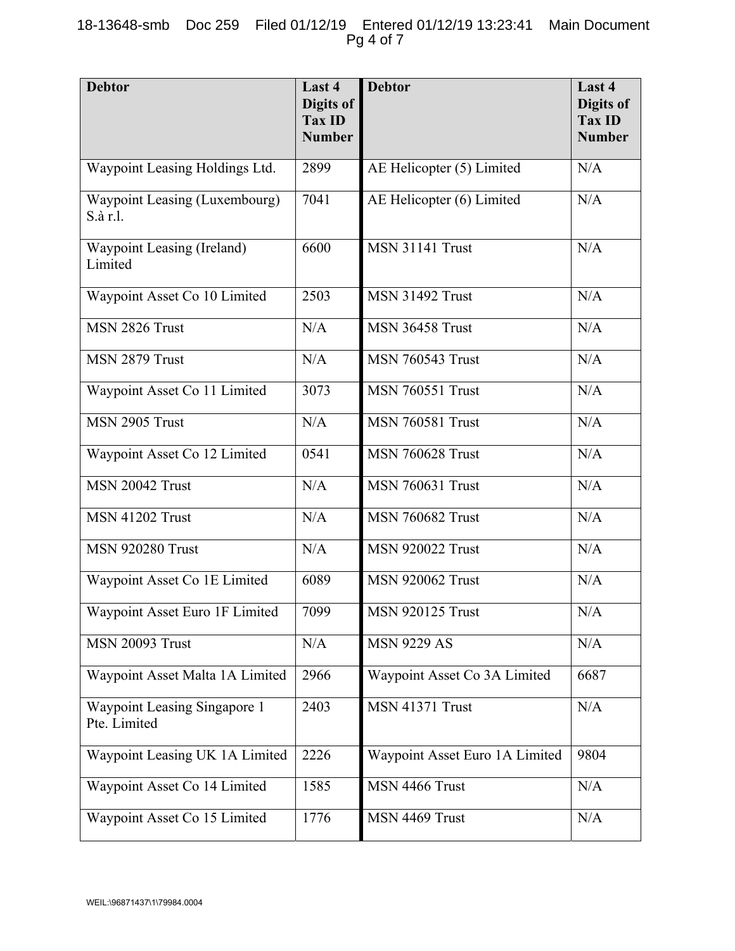#### 18-13648-smb Doc 259 Filed 01/12/19 Entered 01/12/19 13:23:41 Main Document Pg 4 of 7

| <b>Debtor</b>                                | Last 4<br>Digits of<br><b>Tax ID</b><br><b>Number</b> | <b>Debtor</b>                  | Last 4<br>Digits of<br><b>Tax ID</b><br><b>Number</b> |
|----------------------------------------------|-------------------------------------------------------|--------------------------------|-------------------------------------------------------|
| Waypoint Leasing Holdings Ltd.               | 2899                                                  | AE Helicopter (5) Limited      | N/A                                                   |
| Waypoint Leasing (Luxembourg)<br>S.à r.l.    | 7041                                                  | AE Helicopter (6) Limited      | N/A                                                   |
| Waypoint Leasing (Ireland)<br>Limited        | 6600                                                  | <b>MSN 31141 Trust</b>         | N/A                                                   |
| Waypoint Asset Co 10 Limited                 | 2503                                                  | MSN 31492 Trust                | N/A                                                   |
| MSN 2826 Trust                               | N/A                                                   | <b>MSN 36458 Trust</b>         | N/A                                                   |
| MSN 2879 Trust                               | N/A                                                   | <b>MSN 760543 Trust</b>        | N/A                                                   |
| Waypoint Asset Co 11 Limited                 | 3073                                                  | <b>MSN 760551 Trust</b>        | N/A                                                   |
| MSN 2905 Trust                               | N/A                                                   | <b>MSN 760581 Trust</b>        | N/A                                                   |
| Waypoint Asset Co 12 Limited                 | 0541                                                  | <b>MSN 760628 Trust</b>        | N/A                                                   |
| <b>MSN 20042 Trust</b>                       | N/A                                                   | <b>MSN 760631 Trust</b>        | N/A                                                   |
| <b>MSN 41202 Trust</b>                       | N/A                                                   | <b>MSN 760682 Trust</b>        | N/A                                                   |
| <b>MSN 920280 Trust</b>                      | N/A                                                   | <b>MSN 920022 Trust</b>        | N/A                                                   |
| Waypoint Asset Co 1E Limited                 | 6089                                                  | <b>MSN 920062 Trust</b>        | N/A                                                   |
| Waypoint Asset Euro 1F Limited               | 7099                                                  | <b>MSN 920125 Trust</b>        | $\rm N/A$                                             |
| <b>MSN 20093 Trust</b>                       | N/A                                                   | <b>MSN 9229 AS</b>             | N/A                                                   |
| Waypoint Asset Malta 1A Limited              | 2966                                                  | Waypoint Asset Co 3A Limited   | 6687                                                  |
| Waypoint Leasing Singapore 1<br>Pte. Limited | 2403                                                  | MSN 41371 Trust                | N/A                                                   |
| Waypoint Leasing UK 1A Limited               | 2226                                                  | Waypoint Asset Euro 1A Limited | 9804                                                  |
| Waypoint Asset Co 14 Limited                 | 1585                                                  | MSN 4466 Trust                 | N/A                                                   |
| Waypoint Asset Co 15 Limited                 | 1776                                                  | MSN 4469 Trust                 | N/A                                                   |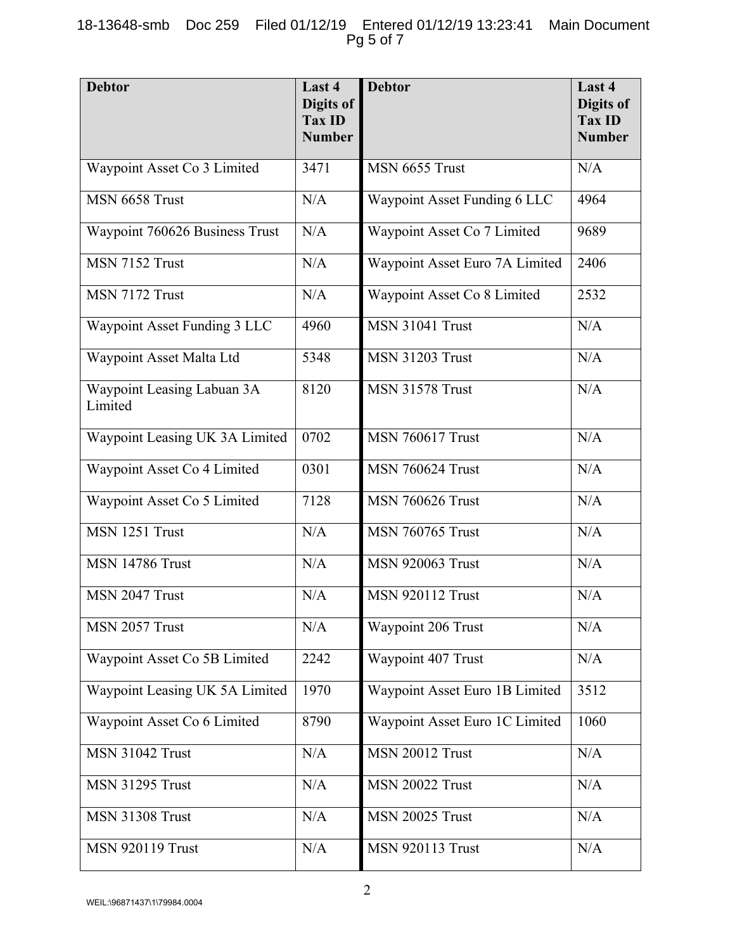## 18-13648-smb Doc 259 Filed 01/12/19 Entered 01/12/19 13:23:41 Main Document Pg 5 of 7

| <b>Debtor</b>                         | Last 4<br>Digits of<br><b>Tax ID</b><br><b>Number</b> | <b>Debtor</b>                  | Last 4<br><b>Digits of</b><br><b>Tax ID</b><br><b>Number</b> |
|---------------------------------------|-------------------------------------------------------|--------------------------------|--------------------------------------------------------------|
| Waypoint Asset Co 3 Limited           | 3471                                                  | MSN 6655 Trust                 | N/A                                                          |
| MSN 6658 Trust                        | N/A                                                   | Waypoint Asset Funding 6 LLC   | 4964                                                         |
| Waypoint 760626 Business Trust        | N/A                                                   | Waypoint Asset Co 7 Limited    | 9689                                                         |
| MSN 7152 Trust                        | N/A                                                   | Waypoint Asset Euro 7A Limited | 2406                                                         |
| MSN 7172 Trust                        | N/A                                                   | Waypoint Asset Co 8 Limited    | 2532                                                         |
| Waypoint Asset Funding 3 LLC          | 4960                                                  | <b>MSN 31041 Trust</b>         | N/A                                                          |
| Waypoint Asset Malta Ltd              | 5348                                                  | <b>MSN 31203 Trust</b>         | N/A                                                          |
| Waypoint Leasing Labuan 3A<br>Limited | 8120                                                  | <b>MSN 31578 Trust</b>         | N/A                                                          |
| Waypoint Leasing UK 3A Limited        | 0702                                                  | <b>MSN 760617 Trust</b>        | N/A                                                          |
| Waypoint Asset Co 4 Limited           | 0301                                                  | <b>MSN 760624 Trust</b>        | N/A                                                          |
| Waypoint Asset Co 5 Limited           | 7128                                                  | <b>MSN 760626 Trust</b>        | N/A                                                          |
| MSN 1251 Trust                        | N/A                                                   | <b>MSN 760765 Trust</b>        | N/A                                                          |
| <b>MSN 14786 Trust</b>                | N/A                                                   | <b>MSN 920063 Trust</b>        | N/A                                                          |
| MSN 2047 Trust                        | N/A                                                   | <b>MSN 920112 Trust</b>        | N/A                                                          |
| MSN 2057 Trust                        | N/A                                                   | Waypoint 206 Trust             | N/A                                                          |
| Waypoint Asset Co 5B Limited          | 2242                                                  | Waypoint 407 Trust             | N/A                                                          |
| Waypoint Leasing UK 5A Limited        | 1970                                                  | Waypoint Asset Euro 1B Limited | 3512                                                         |
| Waypoint Asset Co 6 Limited           | 8790                                                  | Waypoint Asset Euro 1C Limited | 1060                                                         |
| <b>MSN 31042 Trust</b>                | N/A                                                   | <b>MSN 20012 Trust</b>         | N/A                                                          |
| <b>MSN 31295 Trust</b>                | N/A                                                   | <b>MSN 20022 Trust</b>         | N/A                                                          |
| <b>MSN 31308 Trust</b>                | N/A                                                   | <b>MSN 20025 Trust</b>         | N/A                                                          |
| <b>MSN 920119 Trust</b>               | N/A                                                   | <b>MSN 920113 Trust</b>        | N/A                                                          |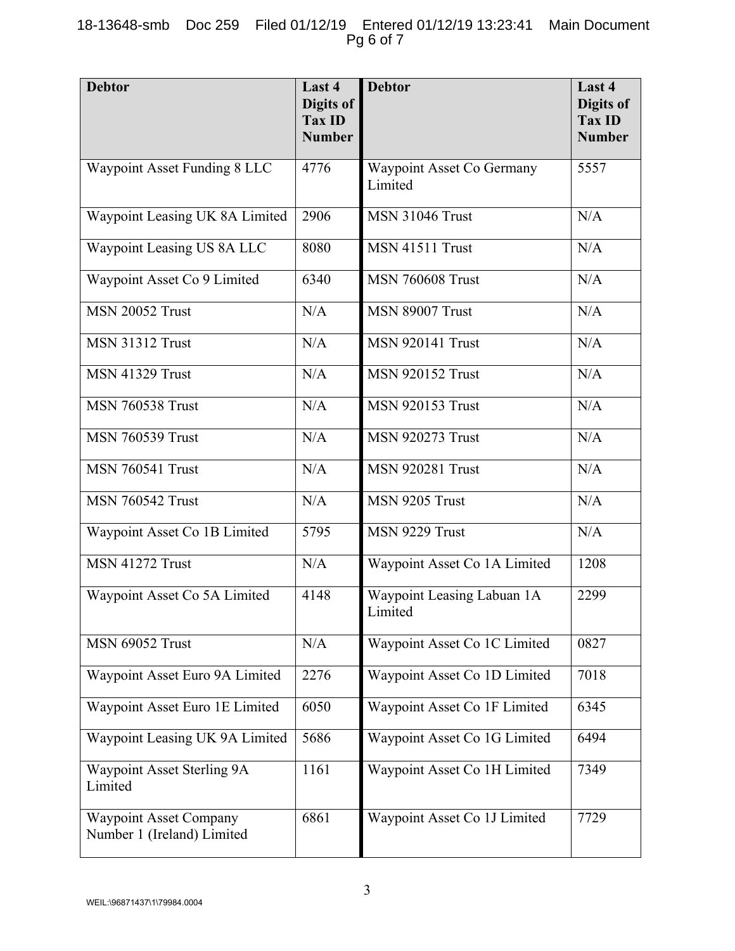## 18-13648-smb Doc 259 Filed 01/12/19 Entered 01/12/19 13:23:41 Main Document Pg 6 of 7

| <b>Debtor</b>                                               | Last 4<br>Digits of<br><b>Tax ID</b><br><b>Number</b> | <b>Debtor</b>                               | Last 4<br><b>Digits of</b><br><b>Tax ID</b><br><b>Number</b> |
|-------------------------------------------------------------|-------------------------------------------------------|---------------------------------------------|--------------------------------------------------------------|
| Waypoint Asset Funding 8 LLC                                | 4776                                                  | <b>Waypoint Asset Co Germany</b><br>Limited | 5557                                                         |
| Waypoint Leasing UK 8A Limited                              | 2906                                                  | <b>MSN 31046 Trust</b>                      | N/A                                                          |
| Waypoint Leasing US 8A LLC                                  | 8080                                                  | <b>MSN 41511 Trust</b>                      | N/A                                                          |
| Waypoint Asset Co 9 Limited                                 | 6340                                                  | <b>MSN 760608 Trust</b>                     | N/A                                                          |
| <b>MSN 20052 Trust</b>                                      | N/A                                                   | MSN 89007 Trust                             | N/A                                                          |
| <b>MSN 31312 Trust</b>                                      | N/A                                                   | <b>MSN 920141 Trust</b>                     | N/A                                                          |
| <b>MSN 41329 Trust</b>                                      | N/A                                                   | <b>MSN 920152 Trust</b>                     | N/A                                                          |
| <b>MSN 760538 Trust</b>                                     | N/A                                                   | <b>MSN 920153 Trust</b>                     | N/A                                                          |
| <b>MSN 760539 Trust</b>                                     | N/A                                                   | <b>MSN 920273 Trust</b>                     | N/A                                                          |
| <b>MSN 760541 Trust</b>                                     | N/A                                                   | <b>MSN 920281 Trust</b>                     | N/A                                                          |
| <b>MSN 760542 Trust</b>                                     | N/A                                                   | MSN 9205 Trust                              | N/A                                                          |
| Waypoint Asset Co 1B Limited                                | 5795                                                  | MSN 9229 Trust                              | N/A                                                          |
| <b>MSN 41272 Trust</b>                                      | N/A                                                   | Waypoint Asset Co 1A Limited                | 1208                                                         |
| Waypoint Asset Co 5A Limited                                | 4148                                                  | Waypoint Leasing Labuan 1A<br>Limited       | 2299                                                         |
| <b>MSN 69052 Trust</b>                                      | N/A                                                   | Waypoint Asset Co 1C Limited                | 0827                                                         |
| Waypoint Asset Euro 9A Limited                              | 2276                                                  | Waypoint Asset Co 1D Limited                | 7018                                                         |
| Waypoint Asset Euro 1E Limited                              | 6050                                                  | Waypoint Asset Co 1F Limited                | 6345                                                         |
| Waypoint Leasing UK 9A Limited                              | 5686                                                  | Waypoint Asset Co 1G Limited                | 6494                                                         |
| Waypoint Asset Sterling 9A<br>Limited                       | 1161                                                  | Waypoint Asset Co 1H Limited                | 7349                                                         |
| <b>Waypoint Asset Company</b><br>Number 1 (Ireland) Limited | 6861                                                  | Waypoint Asset Co 1J Limited                | 7729                                                         |